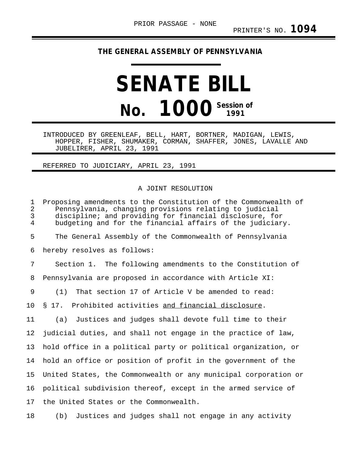## **THE GENERAL ASSEMBLY OF PENNSYLVANIA**

## **SENATE BILL No. 1000 Session of**

INTRODUCED BY GREENLEAF, BELL, HART, BORTNER, MADIGAN, LEWIS, HOPPER, FISHER, SHUMAKER, CORMAN, SHAFFER, JONES, LAVALLE AND JUBELIRER, APRIL 23, 1991

## REFERRED TO JUDICIARY, APRIL 23, 1991

## A JOINT RESOLUTION

1 Proposing amendments to the Constitution of the Commonwealth of<br>2 Pennsylvania, changing provisions relating to judicial 2 Pennsylvania, changing provisions relating to judicial discipline; and providing for financial disclosure, for 4 budgeting and for the financial affairs of the judiciary. 5 The General Assembly of the Commonwealth of Pennsylvania 6 hereby resolves as follows: 7 Section 1. The following amendments to the Constitution of 8 Pennsylvania are proposed in accordance with Article XI: 9 (1) That section 17 of Article V be amended to read: 10 § 17. Prohibited activities and financial disclosure. 11 (a) Justices and judges shall devote full time to their 12 judicial duties, and shall not engage in the practice of law, 13 hold office in a political party or political organization, or 14 hold an office or position of profit in the government of the 15 United States, the Commonwealth or any municipal corporation or 16 political subdivision thereof, except in the armed service of 17 the United States or the Commonwealth.

18 (b) Justices and judges shall not engage in any activity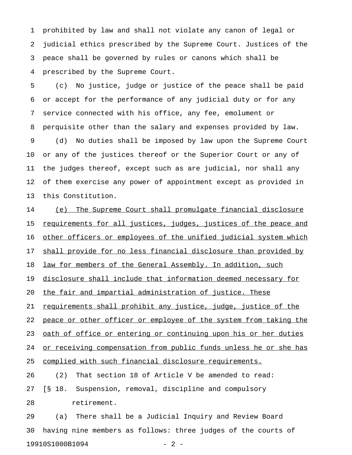1 prohibited by law and shall not violate any canon of legal or 2 judicial ethics prescribed by the Supreme Court. Justices of the 3 peace shall be governed by rules or canons which shall be 4 prescribed by the Supreme Court.

5 (c) No justice, judge or justice of the peace shall be paid 6 or accept for the performance of any judicial duty or for any 7 service connected with his office, any fee, emolument or 8 perquisite other than the salary and expenses provided by law. 9 (d) No duties shall be imposed by law upon the Supreme Court 10 or any of the justices thereof or the Superior Court or any of 11 the judges thereof, except such as are judicial, nor shall any 12 of them exercise any power of appointment except as provided in 13 this Constitution.

14 (e) The Supreme Court shall promulgate financial disclosure 15 <u>requirements for all justices, judges, justices of the peace and</u> 16 other officers or employees of the unified judicial system which 17 shall provide for no less financial disclosure than provided by 18 law for members of the General Assembly. In addition, such 19 disclosure shall include that information deemed necessary for 20 the fair and impartial administration of justice. These 21 requirements shall prohibit any justice, judge, justice of the 22 peace or other officer or employee of the system from taking the 23 oath of office or entering or continuing upon his or her duties 24 or receiving compensation from public funds unless he or she has 25 complied with such financial disclosure requirements. 26 (2) That section 18 of Article V be amended to read: 27 [§ 18. Suspension, removal, discipline and compulsory 28 retirement.

29 (a) There shall be a Judicial Inquiry and Review Board 30 having nine members as follows: three judges of the courts of 19910S1000B1094 - 2 -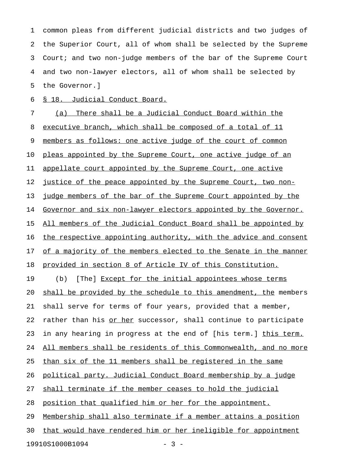1 common pleas from different judicial districts and two judges of 2 the Superior Court, all of whom shall be selected by the Supreme 3 Court; and two non-judge members of the bar of the Supreme Court 4 and two non-lawyer electors, all of whom shall be selected by 5 the Governor.]

6 § 18. Judicial Conduct Board.

7 (a) There shall be a Judicial Conduct Board within the 8 executive branch, which shall be composed of a total of 11 9 members as follows: one active judge of the court of common 10 pleas appointed by the Supreme Court, one active judge of an 11 appellate court appointed by the Supreme Court, one active 12 justice of the peace appointed by the Supreme Court, two non-13 judge members of the bar of the Supreme Court appointed by the 14 Governor and six non-lawyer electors appointed by the Governor. 15 All members of the Judicial Conduct Board shall be appointed by 16 the respective appointing authority, with the advice and consent 17 of a majority of the members elected to the Senate in the manner 18 provided in section 8 of Article IV of this Constitution. 19 (b) [The] Except for the initial appointees whose terms 20 shall be provided by the schedule to this amendment, the members 21 shall serve for terms of four years, provided that a member, 22 rather than his or her successor, shall continue to participate 23 in any hearing in progress at the end of [his term.] this term. 24 All members shall be residents of this Commonwealth, and no more 25 than six of the 11 members shall be registered in the same 26 political party. Judicial Conduct Board membership by a judge 27 shall terminate if the member ceases to hold the judicial 28 position that qualified him or her for the appointment. 29 Membership shall also terminate if a member attains a position 30 that would have rendered him or her ineligible for appointment

19910S1000B1094 - 3 -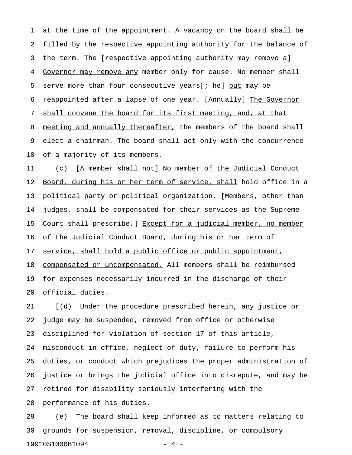1 at the time of the appointment. A vacancy on the board shall be 2 filled by the respective appointing authority for the balance of 3 the term. The [respective appointing authority may remove a] 4 Governor may remove any member only for cause. No member shall 5 serve more than four consecutive years  $[i]$  he  $]$  but may be 6 reappointed after a lapse of one year. [Annually] The Governor 7 shall convene the board for its first meeting, and, at that 8 meeting and annually thereafter, the members of the board shall 9 elect a chairman. The board shall act only with the concurrence 10 of a majority of its members.

11 (c) [A member shall not] No member of the Judicial Conduct 12 Board, during his or her term of service, shall hold office in a 13 political party or political organization. [Members, other than 14 judges, shall be compensated for their services as the Supreme 15 Court shall prescribe.] Except for a judicial member, no member 16 of the Judicial Conduct Board, during his or her term of 17 service, shall hold a public office or public appointment, 18 compensated or uncompensated. All members shall be reimbursed 19 for expenses necessarily incurred in the discharge of their 20 official duties.

21 [(d) Under the procedure prescribed herein, any justice or 22 judge may be suspended, removed from office or otherwise 23 disciplined for violation of section 17 of this article, 24 misconduct in office, neglect of duty, failure to perform his 25 duties, or conduct which prejudices the proper administration of 26 justice or brings the judicial office into disrepute, and may be 27 retired for disability seriously interfering with the 28 performance of his duties.

29 (e) The board shall keep informed as to matters relating to 30 grounds for suspension, removal, discipline, or compulsory 19910S1000B1094 - 4 -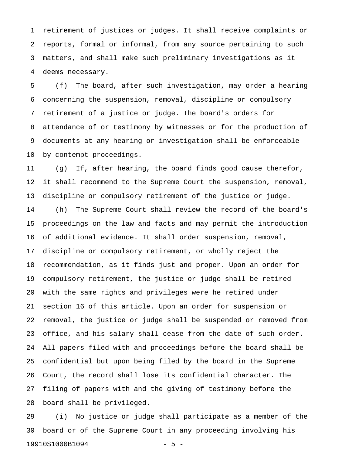1 retirement of justices or judges. It shall receive complaints or 2 reports, formal or informal, from any source pertaining to such 3 matters, and shall make such preliminary investigations as it 4 deems necessary.

5 (f) The board, after such investigation, may order a hearing 6 concerning the suspension, removal, discipline or compulsory 7 retirement of a justice or judge. The board's orders for 8 attendance of or testimony by witnesses or for the production of 9 documents at any hearing or investigation shall be enforceable 10 by contempt proceedings.

11 (g) If, after hearing, the board finds good cause therefor, 12 it shall recommend to the Supreme Court the suspension, removal, 13 discipline or compulsory retirement of the justice or judge. 14 (h) The Supreme Court shall review the record of the board's 15 proceedings on the law and facts and may permit the introduction 16 of additional evidence. It shall order suspension, removal, 17 discipline or compulsory retirement, or wholly reject the 18 recommendation, as it finds just and proper. Upon an order for 19 compulsory retirement, the justice or judge shall be retired 20 with the same rights and privileges were he retired under 21 section 16 of this article. Upon an order for suspension or 22 removal, the justice or judge shall be suspended or removed from 23 office, and his salary shall cease from the date of such order. 24 All papers filed with and proceedings before the board shall be 25 confidential but upon being filed by the board in the Supreme 26 Court, the record shall lose its confidential character. The 27 filing of papers with and the giving of testimony before the 28 board shall be privileged.

29 (i) No justice or judge shall participate as a member of the 30 board or of the Supreme Court in any proceeding involving his 19910S1000B1094 - 5 -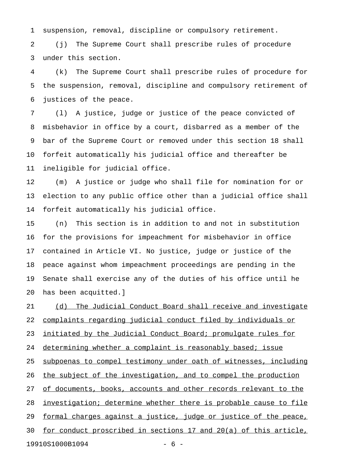1 suspension, removal, discipline or compulsory retirement.

2 (j) The Supreme Court shall prescribe rules of procedure 3 under this section.

4 (k) The Supreme Court shall prescribe rules of procedure for 5 the suspension, removal, discipline and compulsory retirement of 6 justices of the peace.

7 (l) A justice, judge or justice of the peace convicted of 8 misbehavior in office by a court, disbarred as a member of the 9 bar of the Supreme Court or removed under this section 18 shall 10 forfeit automatically his judicial office and thereafter be 11 ineligible for judicial office.

12 (m) A justice or judge who shall file for nomination for or 13 election to any public office other than a judicial office shall 14 forfeit automatically his judicial office.

15 (n) This section is in addition to and not in substitution 16 for the provisions for impeachment for misbehavior in office 17 contained in Article VI. No justice, judge or justice of the 18 peace against whom impeachment proceedings are pending in the 19 Senate shall exercise any of the duties of his office until he 20 has been acquitted.]

21 (d) The Judicial Conduct Board shall receive and investigate 22 complaints regarding judicial conduct filed by individuals or 23 initiated by the Judicial Conduct Board; promulgate rules for 24 determining whether a complaint is reasonably based; issue 25 subpoenas to compel testimony under oath of witnesses, including 26 the subject of the investigation, and to compel the production 27 of documents, books, accounts and other records relevant to the 28 investigation; determine whether there is probable cause to file 29 formal charges against a justice, judge or justice of the peace, 30 for conduct proscribed in sections 17 and 20 $(a)$  of this article, 19910S1000B1094 - 6 -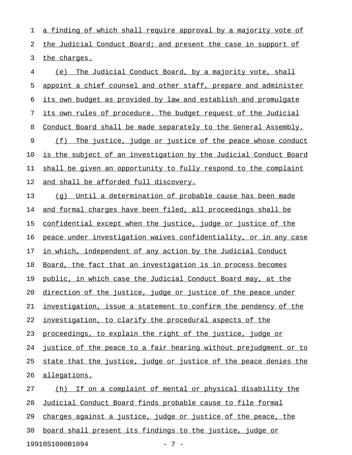1 a finding of which shall require approval by a majority vote of 2 the Judicial Conduct Board; and present the case in support of 3 the charges.

4 (e) The Judicial Conduct Board, by a majority vote, shall 5 appoint a chief counsel and other staff, prepare and administer 6 its own budget as provided by law and establish and promulgate 7 its own rules of procedure. The budget request of the Judicial 8 Conduct Board shall be made separately to the General Assembly. 9 (f) The justice, judge or justice of the peace whose conduct 10 is the subject of an investigation by the Judicial Conduct Board 11 shall be given an opportunity to fully respond to the complaint 12 and shall be afforded full discovery.

13 (q) Until a determination of probable cause has been made 14 and formal charges have been filed, all proceedings shall be 15 confidential except when the justice, judge or justice of the 16 peace under investigation waives confidentiality, or in any case 17 in which, independent of any action by the Judicial Conduct 18 Board, the fact that an investigation is in process becomes 19 public, in which case the Judicial Conduct Board may, at the 20 direction of the justice, judge or justice of the peace under 21 investigation, issue a statement to confirm the pendency of the 22 investigation, to clarify the procedural aspects of the 23 proceedings, to explain the right of the justice, judge or 24 justice of the peace to a fair hearing without prejudgment or to 25 state that the justice, judge or justice of the peace denies the 26 allegations. 27 (h) If on a complaint of mental or physical disability the 28 Judicial Conduct Board finds probable cause to file formal 29 charges against a justice, judge or justice of the peace, the 30 board shall present its findings to the justice, judge or

19910S1000B1094 - 7 -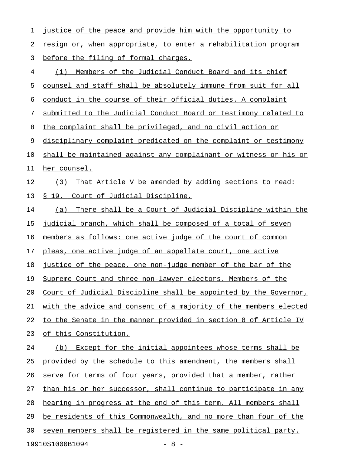1 justice of the peace and provide him with the opportunity to 2 resign or, when appropriate, to enter a rehabilitation program 3 before the filing of formal charges. 4 (i) Members of the Judicial Conduct Board and its chief 5 counsel and staff shall be absolutely immune from suit for all 6 conduct in the course of their official duties. A complaint 7 submitted to the Judicial Conduct Board or testimony related to 8 the complaint shall be privileged, and no civil action or 9 disciplinary complaint predicated on the complaint or testimony 10 shall be maintained against any complainant or witness or his or 11 her counsel. 12 (3) That Article V be amended by adding sections to read: 13 § 19. Court of Judicial Discipline. 14 (a) There shall be a Court of Judicial Discipline within the 15 judicial branch, which shall be composed of a total of seven 16 members as follows: one active judge of the court of common 17 pleas, one active judge of an appellate court, one active 18 justice of the peace, one non-judge member of the bar of the 19 Supreme Court and three non-lawyer electors. Members of the 20 Court of Judicial Discipline shall be appointed by the Governor, 21 with the advice and consent of a majority of the members elected 22 to the Senate in the manner provided in section 8 of Article IV 23 of this Constitution. 24 (b) Except for the initial appointees whose terms shall be 25 provided by the schedule to this amendment, the members shall 26 serve for terms of four years, provided that a member, rather 27 than his or her successor, shall continue to participate in any 28 hearing in progress at the end of this term. All members shall 29 be residents of this Commonwealth, and no more than four of the 30 seven members shall be registered in the same political party. 19910S1000B1094 - 8 -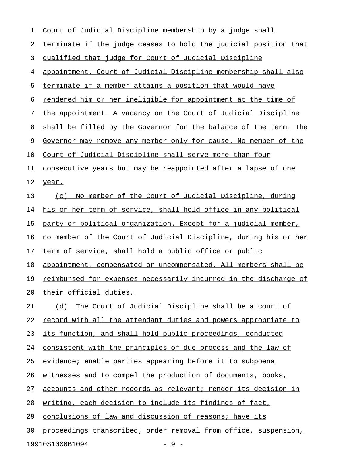| 1  | Court of Judicial Discipline membership by a judge shall                |
|----|-------------------------------------------------------------------------|
| 2  | terminate if the judge ceases to hold the judicial position that        |
| 3  | qualified that judge for Court of Judicial Discipline                   |
| 4  | appointment. Court of Judicial Discipline membership shall also         |
| 5  | terminate if a member attains a position that would have                |
| 6  | rendered him or her ineligible for appointment at the time of           |
| 7  | the appointment. A vacancy on the Court of Judicial Discipline          |
| 8  | shall be filled by the Governor for the balance of the term. The        |
| 9  | Governor may remove any member only for cause. No member of the         |
| 10 | Court of Judicial Discipline shall serve more than four                 |
| 11 | <u>consecutive years but may be reappointed after a lapse of one</u>    |
| 12 | year.                                                                   |
| 13 | No member of the Court of Judicial Discipline, during<br>(c)            |
| 14 | his or her term of service, shall hold office in any political          |
| 15 | party or political organization. Except for a judicial member,          |
| 16 | no member of the Court of Judicial Discipline, during his or her        |
| 17 | term of service, shall hold a public office or public                   |
| 18 | appointment, compensated or uncompensated. All members shall be         |
| 19 | <u>reimbursed for expenses necessarily incurred in the discharge of</u> |
| 20 | their official duties.                                                  |
| 21 | The Court of Judicial Discipline shall be a court of<br>(d)             |
| 22 | record with all the attendant duties and powers appropriate to          |
| 23 | its function, and shall hold public proceedings, conducted              |
| 24 | consistent with the principles of due process and the law of            |
| 25 | evidence; enable parties appearing before it to subpoena                |
| 26 | witnesses and to compel the production of documents, books,             |
| 27 | accounts and other records as relevant; render its decision in          |
| 28 | writing, each decision to include its findings of fact,                 |
| 29 | conclusions of law and discussion of reasons; have its                  |
| 30 | proceedings transcribed; order removal from office, suspension,         |
|    | 19910S1000B1094<br>$-9-$                                                |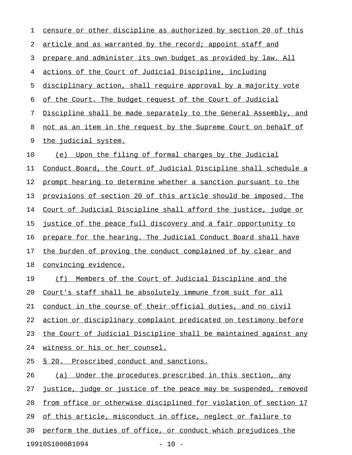| 1  | censure or other discipline as authorized by section 20 of this  |
|----|------------------------------------------------------------------|
| 2  | article and as warranted by the record; appoint staff and        |
| 3  | prepare and administer its own budget as provided by law. All    |
| 4  | actions of the Court of Judicial Discipline, including           |
| 5  | disciplinary action, shall require approval by a majority vote   |
| 6  | of the Court. The budget request of the Court of Judicial        |
| 7  | Discipline shall be made separately to the General Assembly, and |
| 8  | not as an item in the request by the Supreme Court on behalf of  |
| 9  | the judicial system.                                             |
| 10 | Upon the filing of formal charges by the Judicial<br>(e)         |
| 11 | Conduct Board, the Court of Judicial Discipline shall schedule a |
| 12 | prompt hearing to determine whether a sanction pursuant to the   |
| 13 | provisions of section 20 of this article should be imposed. The  |
| 14 | Court of Judicial Discipline shall afford the justice, judge or  |
| 15 | justice of the peace full discovery and a fair opportunity to    |
| 16 | prepare for the hearing. The Judicial Conduct Board shall have   |
| 17 | the burden of proving the conduct complained of by clear and     |
| 18 | convincing evidence.                                             |
| 19 | Members of the Court of Judicial Discipline and the<br>(f)       |
| 20 | Court's staff shall be absolutely immune from suit for all       |
| 21 | conduct in the course of their official duties, and no civil     |
| 22 | action or disciplinary complaint predicated on testimony before  |
| 23 | the Court of Judicial Discipline shall be maintained against any |
| 24 | witness or his or her counsel.                                   |
| 25 | § 20. Proscribed conduct and sanctions.                          |
| 26 | (a) Under the procedures prescribed in this section, any         |
| 27 | justice, judge or justice of the peace may be suspended, removed |
| 28 | from office or otherwise disciplined for violation of section 17 |
| 29 | of this article, misconduct in office, neglect or failure to     |
| 30 | perform the duties of office, or conduct which prejudices the    |
|    | 19910S1000B1094<br>$-10 -$                                       |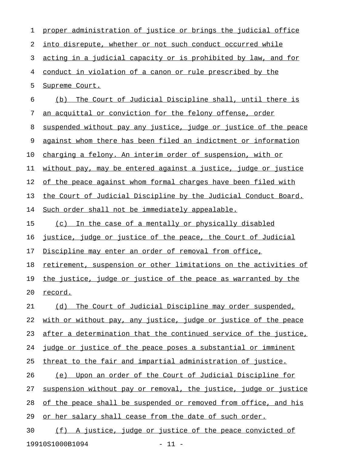| 1  | proper administration of justice or brings the judicial office   |
|----|------------------------------------------------------------------|
| 2  | into disrepute, whether or not such conduct occurred while       |
| 3  | acting in a judicial capacity or is prohibited by law, and for   |
| 4  | conduct in violation of a canon or rule prescribed by the        |
| 5  | Supreme Court.                                                   |
| 6  | The Court of Judicial Discipline shall, until there is<br>(b)    |
| 7  | an acquittal or conviction for the felony offense, order         |
| 8  | suspended without pay any justice, judge or justice of the peace |
| 9  | against whom there has been filed an indictment or information   |
| 10 | charging a felony. An interim order of suspension, with or       |
| 11 | without pay, may be entered against a justice, judge or justice  |
| 12 | of the peace against whom formal charges have been filed with    |
| 13 | the Court of Judicial Discipline by the Judicial Conduct Board.  |
| 14 | Such order shall not be immediately appealable.                  |
| 15 | (c) In the case of a mentally or physically disabled             |
| 16 | justice, judge or justice of the peace, the Court of Judicial    |
| 17 | Discipline may enter an order of removal from office,            |
| 18 | retirement, suspension or other limitations on the activities of |
| 19 | the justice, judge or justice of the peace as warranted by the   |
| 20 | record.                                                          |
| 21 | The Court of Judicial Discipline may order suspended,<br>(d)     |
| 22 | with or without pay, any justice, judge or justice of the peace  |
| 23 | after a determination that the continued service of the justice, |
| 24 | judge or justice of the peace poses a substantial or imminent    |
| 25 | threat to the fair and impartial administration of justice.      |
| 26 | Upon an order of the Court of Judicial Discipline for<br>(e)     |
| 27 | suspension without pay or removal, the justice, judge or justice |
| 28 | of the peace shall be suspended or removed from office, and his  |
| 29 | or her salary shall cease from the date of such order.           |
| 30 | (f) A justice, judge or justice of the peace convicted of        |
|    | 19910S1000B1094<br>$-11 -$                                       |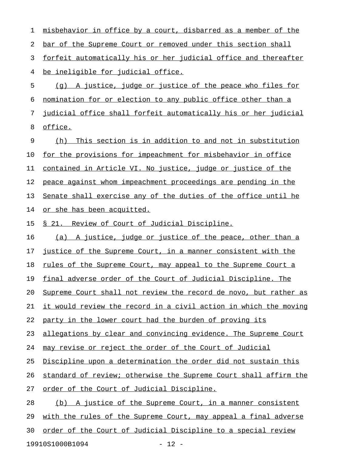1 misbehavior in office by a court, disbarred as a member of the 2 bar of the Supreme Court or removed under this section shall 3 forfeit automatically his or her judicial office and thereafter 4 be ineligible for judicial office.  $5$  (q) A justice, judge or justice of the peace who files for 6 nomination for or election to any public office other than a 7 judicial office shall forfeit automatically his or her judicial 8 office. 9 (h) This section is in addition to and not in substitution

10 for the provisions for impeachment for misbehavior in office 11 contained in Article VI. No justice, judge or justice of the 12 peace against whom impeachment proceedings are pending in the 13 Senate shall exercise any of the duties of the office until he 14 or she has been acquitted.

15 § 21. Review of Court of Judicial Discipline.

16 (a) A justice, judge or justice of the peace, other than a 17 justice of the Supreme Court, in a manner consistent with the 18 rules of the Supreme Court, may appeal to the Supreme Court a 19 final adverse order of the Court of Judicial Discipline. The 20 Supreme Court shall not review the record de novo, but rather as 21 it would review the record in a civil action in which the moving 22 party in the lower court had the burden of proving its 23 allegations by clear and convincing evidence. The Supreme Court 24 may revise or reject the order of the Court of Judicial 25 Discipline upon a determination the order did not sustain this 26 standard of review; otherwise the Supreme Court shall affirm the 27 order of the Court of Judicial Discipline. 28 (b) A justice of the Supreme Court, in a manner consistent 29 with the rules of the Supreme Court, may appeal a final adverse 30 order of the Court of Judicial Discipline to a special review

19910S1000B1094 - 12 -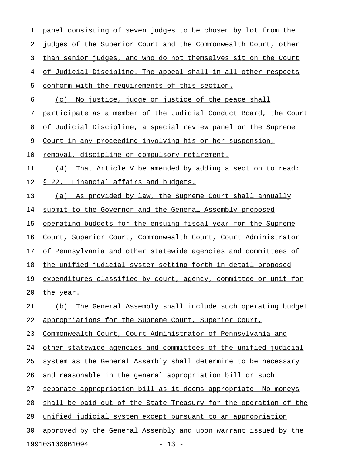1 panel consisting of seven judges to be chosen by lot from the 2 judges of the Superior Court and the Commonwealth Court, other 3 than senior judges, and who do not themselves sit on the Court 4 of Judicial Discipline. The appeal shall in all other respects 5 conform with the requirements of this section. 6 (c) No justice, judge or justice of the peace shall 7 participate as a member of the Judicial Conduct Board, the Court 8 of Judicial Discipline, a special review panel or the Supreme 9 Court in any proceeding involving his or her suspension, 10 removal, discipline or compulsory retirement. 11 (4) That Article V be amended by adding a section to read: 12 § 22. Financial affairs and budgets. 13 (a) As provided by law, the Supreme Court shall annually 14 submit to the Governor and the General Assembly proposed 15 operating budgets for the ensuing fiscal year for the Supreme 16 Court, Superior Court, Commonwealth Court, Court Administrator 17 of Pennsylvania and other statewide agencies and committees of 18 the unified judicial system setting forth in detail proposed 19 expenditures classified by court, agency, committee or unit for 20 the year. 21 (b) The General Assembly shall include such operating budget 22 appropriations for the Supreme Court, Superior Court, 23 Commonwealth Court, Court Administrator of Pennsylvania and 24 other statewide agencies and committees of the unified judicial 25 system as the General Assembly shall determine to be necessary 26 and reasonable in the general appropriation bill or such 27 separate appropriation bill as it deems appropriate. No moneys 28 shall be paid out of the State Treasury for the operation of the 29 unified judicial system except pursuant to an appropriation 30 approved by the General Assembly and upon warrant issued by the

19910S1000B1094 - 13 -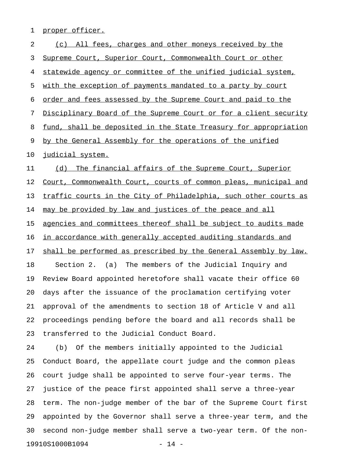1 proper officer.

| 2  | (c) All fees, charges and other moneys received by the           |
|----|------------------------------------------------------------------|
| 3  | Supreme Court, Superior Court, Commonwealth Court or other       |
| 4  | statewide agency or committee of the unified judicial system,    |
| 5  | with the exception of payments mandated to a party by court      |
| 6  | order and fees assessed by the Supreme Court and paid to the     |
| 7  | Disciplinary Board of the Supreme Court or for a client security |
| 8  | fund, shall be deposited in the State Treasury for appropriation |
| 9  | by the General Assembly for the operations of the unified        |
| 10 | judicial system.                                                 |
| 11 | (d) The financial affairs of the Supreme Court, Superior         |
| 12 | Court, Commonwealth Court, courts of common pleas, municipal and |
| 13 | traffic courts in the City of Philadelphia, such other courts as |
| 14 | may be provided by law and justices of the peace and all         |
| 15 | agencies and committees thereof shall be subject to audits made  |
| 16 | in accordance with generally accepted auditing standards and     |
| 17 | shall be performed as prescribed by the General Assembly by law. |
| 18 | The members of the Judicial Inquiry and<br>Section 2. $(a)$      |
| 19 | Review Board appointed heretofore shall vacate their office 60   |
| 20 | days after the issuance of the proclamation certifying voter     |
| 21 | approval of the amendments to section 18 of Article V and all    |
| 22 | proceedings pending before the board and all records shall be    |
| 23 | transferred to the Judicial Conduct Board.                       |
| 24 | Of the members initially appointed to the Judicial<br>(b)        |
| 25 | Conduct Board, the appellate court judge and the common pleas    |
| 26 | court judge shall be appointed to serve four-year terms. The     |
| 27 | justice of the peace first appointed shall serve a three-year    |
| 28 | term. The non-judge member of the bar of the Supreme Court first |
| 29 | appointed by the Governor shall serve a three-year term, and the |
| 30 | second non-judge member shall serve a two-year term. Of the non- |
|    | 19910S1000B1094<br>$14 -$                                        |